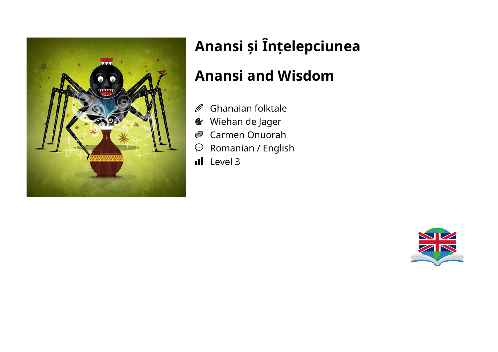

# **Anansi și Înțelepciunea**

### **Anansi and Wisdom**

- Ghanaian folktale Ø.
- Wiehan de Jager  $\mathbf{C}$
- Carmen Onuorah ●
- Romanian / English  $\odot$
- Il Level 3

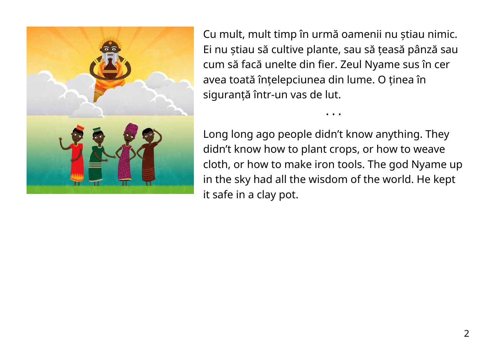

Cu mult, mult timp în urmă oamenii nu știau nimic. Ei nu știau să cultive plante, sau să țeasă pânză sau cum să facă unelte din fier. Zeul Nyame sus în cer avea toată înțelepciunea din lume. O ținea în siguranță într-un vas de lut.

Long long ago people didn't know anything. They didn't know how to plant crops, or how to weave cloth, or how to make iron tools. The god Nyame up in the sky had all the wisdom of the world. He kept it safe in a clay pot.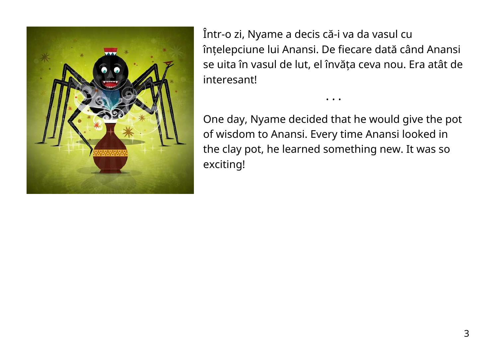

Într-o zi, Nyame a decis că-i va da vasul cu înțelepciune lui Anansi. De fiecare dată când Anansi se uita în vasul de lut, el învăța ceva nou. Era atât de interesant!

One day, Nyame decided that he would give the pot of wisdom to Anansi. Every time Anansi looked in the clay pot, he learned something new. It was so exciting!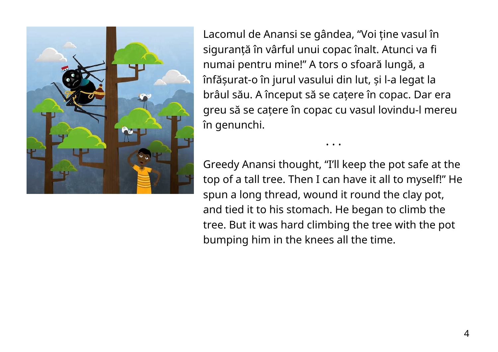

Lacomul de Anansi se gândea, "Voi ține vasul în siguranță în vârful unui copac înalt. Atunci va fi numai pentru mine!" A tors o sfoară lungă, a înfășurat-o în jurul vasului din lut, și l-a legat la brâul său. A început să se cațere în copac. Dar era greu să se cațere în copac cu vasul lovindu-l mereu în genunchi.

Greedy Anansi thought, "I'll keep the pot safe at the top of a tall tree. Then I can have it all to myself!" He spun a long thread, wound it round the clay pot, and tied it to his stomach. He began to climb the tree. But it was hard climbing the tree with the pot bumping him in the knees all the time.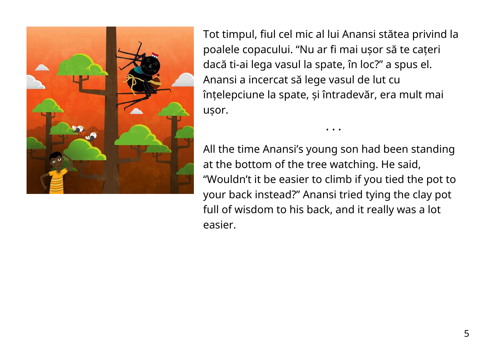

Tot timpul, fiul cel mic al lui Anansi stătea privind la poalele copacului. "Nu ar fi mai ușor să te cațeri dacă ti-ai lega vasul la spate, în loc?" a spus el. Anansi a incercat să lege vasul de lut cu înțelepciune la spate, și întradevăr, era mult mai ușor.

• • •

All the time Anansi's young son had been standing at the bottom of the tree watching. He said, "Wouldn't it be easier to climb if you tied the pot to your back instead?" Anansi tried tying the clay pot full of wisdom to his back, and it really was a lot easier.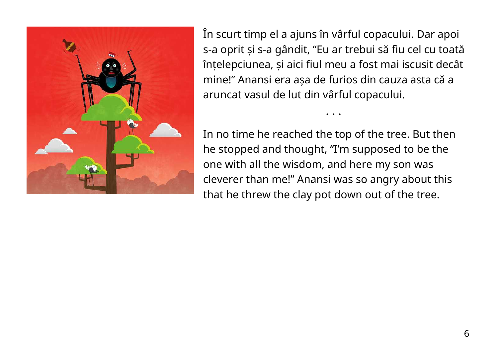

În scurt timp el a ajuns în vârful copacului. Dar apoi s-a oprit și s-a gândit, "Eu ar trebui să fiu cel cu toată înțelepciunea, și aici fiul meu a fost mai iscusit decât mine!" Anansi era așa de furios din cauza asta că a aruncat vasul de lut din vârful copacului.

• • •

In no time he reached the top of the tree. But then he stopped and thought, "I'm supposed to be the one with all the wisdom, and here my son was cleverer than me!" Anansi was so angry about this that he threw the clay pot down out of the tree.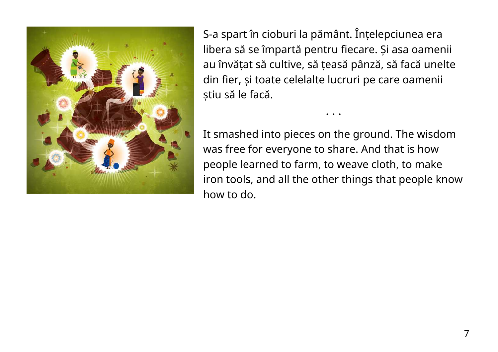

S-a spart în cioburi la pământ. Înțelepciunea era libera să se împartă pentru fiecare. Și asa oamenii au învățat să cultive, să țeasă pânză, să facă unelte din fier, și toate celelalte lucruri pe care oamenii știu să le facă.

It smashed into pieces on the ground. The wisdom was free for everyone to share. And that is how people learned to farm, to weave cloth, to make iron tools, and all the other things that people know how to do.